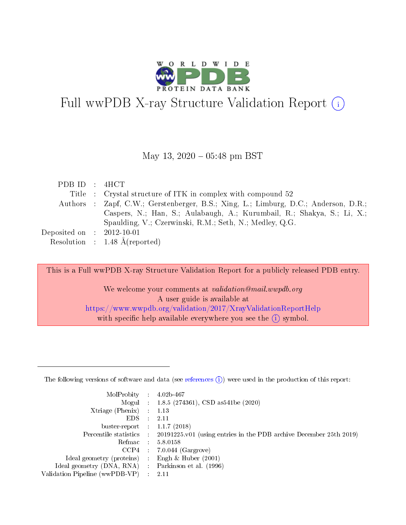

# Full wwPDB X-ray Structure Validation Report  $(i)$

#### May 13,  $2020 - 05:48$  pm BST

| PDB ID : 4HCT               |                                                                                     |
|-----------------------------|-------------------------------------------------------------------------------------|
|                             | Title : Crystal structure of ITK in complex with compound 52                        |
|                             | Authors : Zapf, C.W.; Gerstenberger, B.S.; Xing, L.; Limburg, D.C.; Anderson, D.R.; |
|                             | Caspers, N.; Han, S.; Aulabaugh, A.; Kurumbail, R.; Shakya, S.; Li, X.;             |
|                             | Spaulding, V.; Czerwinski, R.M.; Seth, N.; Medley, Q.G.                             |
| Deposited on : $2012-10-01$ |                                                                                     |
|                             | Resolution : $1.48 \text{ Å}$ (reported)                                            |

This is a Full wwPDB X-ray Structure Validation Report for a publicly released PDB entry.

We welcome your comments at validation@mail.wwpdb.org A user guide is available at <https://www.wwpdb.org/validation/2017/XrayValidationReportHelp> with specific help available everywhere you see the  $(i)$  symbol.

The following versions of software and data (see [references](https://www.wwpdb.org/validation/2017/XrayValidationReportHelp#references)  $(1)$ ) were used in the production of this report:

| MolProbity :                   |               | $4.02b - 467$                                                               |
|--------------------------------|---------------|-----------------------------------------------------------------------------|
|                                |               | Mogul : $1.8.5$ (274361), CSD as 541be (2020)                               |
| Xtriage (Phenix)               | $\mathcal{L}$ | 1.13                                                                        |
| EDS.                           |               | 2.11                                                                        |
| buster-report : $1.1.7$ (2018) |               |                                                                             |
| Percentile statistics :        |               | $20191225 \text{v}01$ (using entries in the PDB archive December 25th 2019) |
| Refmac :                       |               | 5.8.0158                                                                    |
| CCP4                           |               | $7.0.044$ (Gargrove)                                                        |
| Ideal geometry (proteins) :    |               | Engh $\&$ Huber (2001)                                                      |
| Ideal geometry (DNA, RNA) :    |               | Parkinson et al. (1996)                                                     |
| Validation Pipeline (wwPDB-VP) | $\mathcal{L}$ | 2.11                                                                        |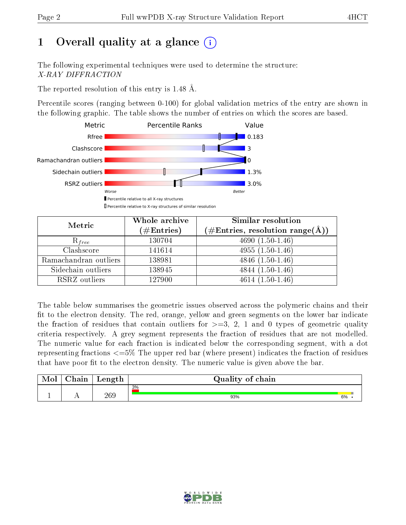# 1 [O](https://www.wwpdb.org/validation/2017/XrayValidationReportHelp#overall_quality)verall quality at a glance  $(i)$

The following experimental techniques were used to determine the structure: X-RAY DIFFRACTION

The reported resolution of this entry is 1.48 Å.

Percentile scores (ranging between 0-100) for global validation metrics of the entry are shown in the following graphic. The table shows the number of entries on which the scores are based.



| Metric                | Whole archive<br>$(\#\text{Entries})$ | Similar resolution<br>$(\#\text{Entries},\, \text{resolution}\; \text{range}(\textup{\AA}))$ |  |
|-----------------------|---------------------------------------|----------------------------------------------------------------------------------------------|--|
| $R_{free}$            | 130704                                | $4690(1.50-1.46)$                                                                            |  |
| Clashscore            | 141614                                | $4955(1.50-1.46)$                                                                            |  |
| Ramachandran outliers | 138981                                | $\overline{4846}$ $(1.50-1.46)$                                                              |  |
| Sidechain outliers    | 138945                                | $4844(1.50-1.46)$                                                                            |  |
| RSRZ outliers         | 127900                                | $4614(1.50-1.46)$                                                                            |  |

The table below summarises the geometric issues observed across the polymeric chains and their fit to the electron density. The red, orange, yellow and green segments on the lower bar indicate the fraction of residues that contain outliers for  $>=3, 2, 1$  and 0 types of geometric quality criteria respectively. A grey segment represents the fraction of residues that are not modelled. The numeric value for each fraction is indicated below the corresponding segment, with a dot representing fractions  $\epsilon=5\%$  The upper red bar (where present) indicates the fraction of residues that have poor fit to the electron density. The numeric value is given above the bar.

| Mol | $\sim$ $\sim$<br>hain | Length | Quality of chain |    |
|-----|-----------------------|--------|------------------|----|
| л.  | . .                   | 269    | 3%<br>93%        | 6% |

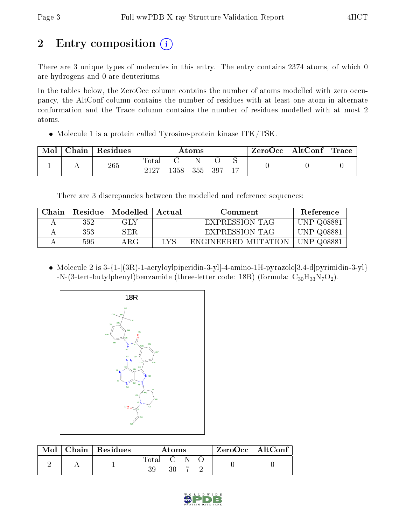# 2 Entry composition (i)

There are 3 unique types of molecules in this entry. The entry contains 2374 atoms, of which 0 are hydrogens and 0 are deuteriums.

In the tables below, the ZeroOcc column contains the number of atoms modelled with zero occupancy, the AltConf column contains the number of residues with at least one atom in alternate conformation and the Trace column contains the number of residues modelled with at most 2 atoms.

• Molecule 1 is a protein called Tyrosine-protein kinase ITK/TSK.

| Mol | Chain | Residues | $\rm{Atoms}$        |              |  |  |  | $\rm{ZeroOcc} \mid \rm{AltConf} \mid \rm{Trace}$ |  |
|-----|-------|----------|---------------------|--------------|--|--|--|--------------------------------------------------|--|
|     |       | 265      | $\rm Total$<br>9197 | 1358 355 397 |  |  |  |                                                  |  |

There are 3 discrepancies between the modelled and reference sequences:

| Chain | Residue | Modelled   | Actual | Comment               | Reference         |
|-------|---------|------------|--------|-----------------------|-------------------|
|       | 352     | GLY        |        | EXPRESSION TAG        | <b>UNP Q08881</b> |
|       | 353     | <b>SER</b> |        | <b>EXPRESSION TAG</b> | UNP Q08881        |
|       | 596     | A R.G      | LYS    | ENGINEERED MUTATION   | UNP Q08881        |

• Molecule 2 is  $3-\{1-[(3R)-1-acryloylpiperidin-3-yl]-4-amino-1H-pyrazolo[3,4-d]pyrimidin-3-yl\}$  $-N-(3-tert-butylphenyl)benzamide (three-letter code: 18R) (formula: C<sub>30</sub>H<sub>33</sub>N<sub>7</sub>O<sub>2</sub>).$ 



| Mol | Chain   Residues | Atoms     |    |  |  | $ZeroOcc \mid AltConf \mid$ |
|-----|------------------|-----------|----|--|--|-----------------------------|
|     |                  | Total C N | 30 |  |  |                             |

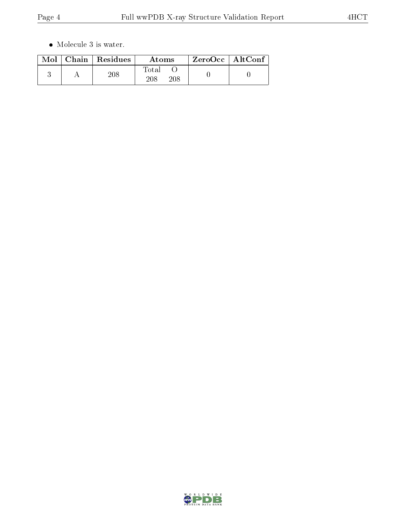$\bullet\,$  Molecule 3 is water.

|  | $Mol$   Chain   Residues | Atoms               | ZeroOcc   AltConf |
|--|--------------------------|---------------------|-------------------|
|  | 208                      | Total<br>208<br>208 |                   |

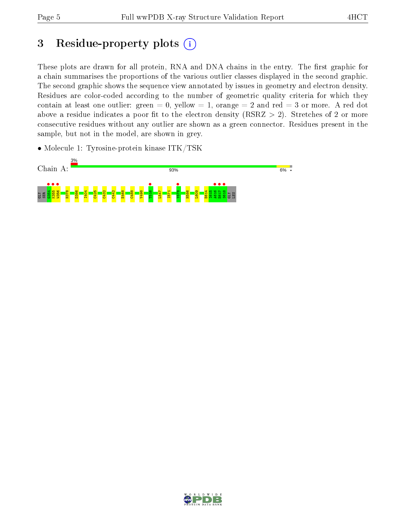# 3 Residue-property plots  $(i)$

These plots are drawn for all protein, RNA and DNA chains in the entry. The first graphic for a chain summarises the proportions of the various outlier classes displayed in the second graphic. The second graphic shows the sequence view annotated by issues in geometry and electron density. Residues are color-coded according to the number of geometric quality criteria for which they contain at least one outlier: green  $= 0$ , yellow  $= 1$ , orange  $= 2$  and red  $= 3$  or more. A red dot above a residue indicates a poor fit to the electron density (RSRZ  $> 2$ ). Stretches of 2 or more consecutive residues without any outlier are shown as a green connector. Residues present in the sample, but not in the model, are shown in grey.

• Molecule 1: Tyrosine-protein kinase ITK/TSK



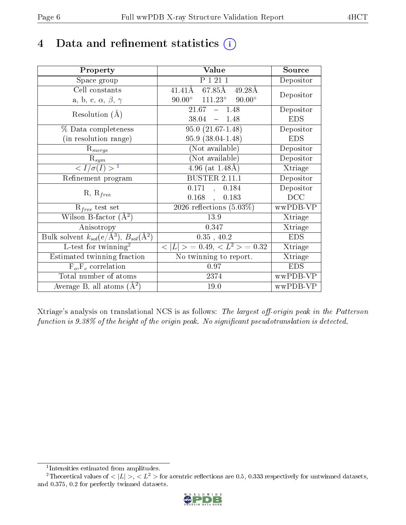## 4 Data and refinement statistics  $(i)$

| Property                                                         | Value                                             | Source     |
|------------------------------------------------------------------|---------------------------------------------------|------------|
| Space group                                                      | $P$ $\overline{1}$ $\overline{21}$ $\overline{1}$ | Depositor  |
| Cell constants                                                   | $67.85\text{\AA}$<br>41.41Å<br>$49.28\text{\AA}$  | Depositor  |
| a, b, c, $\alpha$ , $\beta$ , $\gamma$                           | $90.00^{\circ}$ $111.23^{\circ}$ $90.00^{\circ}$  |            |
| Resolution $(A)$                                                 | $21.67 - 1.48$                                    | Depositor  |
|                                                                  | $38.04 = 1.48$                                    | <b>EDS</b> |
| % Data completeness                                              | $95.0(21.67-1.48)$                                | Depositor  |
| (in resolution range)                                            | 95.9 (38.04-1.48)                                 | <b>EDS</b> |
| $R_{merge}$                                                      | (Not available)                                   | Depositor  |
| $\mathrm{R}_{sym}$                                               | (Not available)                                   | Depositor  |
| $\langle I/\sigma(I) \rangle^{-1}$                               | $4.96$ (at $1.48$ Å)                              | Xtriage    |
| Refinement program                                               | <b>BUSTER 2.11.1</b>                              | Depositor  |
|                                                                  | $0.171$ , $0.184$                                 | Depositor  |
| $R, R_{free}$                                                    | $0.168$ ,<br>0.183                                | DCC        |
| $R_{free}$ test set                                              | 2026 reflections $(5.03\%)$                       | wwPDB-VP   |
| Wilson B-factor $(A^2)$                                          | 13.9                                              | Xtriage    |
| Anisotropy                                                       | 0.347                                             | Xtriage    |
| Bulk solvent $k_{sol}(\text{e}/\text{A}^3), B_{sol}(\text{A}^2)$ | 0.35, 40.2                                        | <b>EDS</b> |
| L-test for $\mathrm{twinning}^2$                                 | $< L >$ = 0.49, $< L^2 >$ = 0.32                  | Xtriage    |
| Estimated twinning fraction                                      | No twinning to report.                            | Xtriage    |
| $\overline{F_o}, \overline{F_c}$ correlation                     | 0.97                                              | <b>EDS</b> |
| Total number of atoms                                            | 2374                                              | wwPDB-VP   |
| Average B, all atoms $(A^2)$                                     | 19.0                                              | wwPDB-VP   |

Xtriage's analysis on translational NCS is as follows: The largest off-origin peak in the Patterson function is  $9.38\%$  of the height of the origin peak. No significant pseudotranslation is detected.

<sup>&</sup>lt;sup>2</sup>Theoretical values of  $\langle |L| \rangle$ ,  $\langle L^2 \rangle$  for acentric reflections are 0.5, 0.333 respectively for untwinned datasets, and 0.375, 0.2 for perfectly twinned datasets.



<span id="page-5-1"></span><span id="page-5-0"></span><sup>1</sup> Intensities estimated from amplitudes.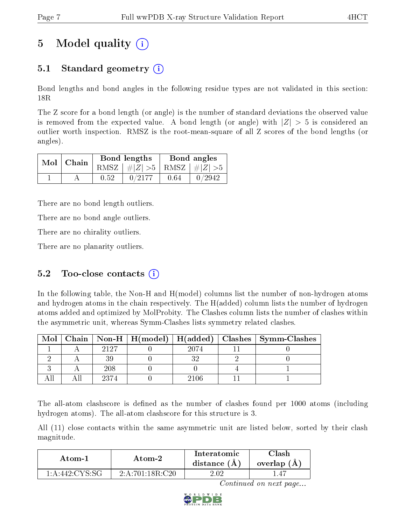# 5 Model quality  $(i)$

## 5.1 Standard geometry (i)

Bond lengths and bond angles in the following residue types are not validated in this section: 18R

The Z score for a bond length (or angle) is the number of standard deviations the observed value is removed from the expected value. A bond length (or angle) with  $|Z| > 5$  is considered an outlier worth inspection. RMSZ is the root-mean-square of all Z scores of the bond lengths (or angles).

|  | $Mol$   Chain |      | Bond lengths                    | Bond angles |        |  |
|--|---------------|------|---------------------------------|-------------|--------|--|
|  |               |      | RMSZ $ #Z  > 5$ RMSZ $ #Z  > 5$ |             |        |  |
|  |               | 0.52 | 0/2177                          | 0.64        | 0/2942 |  |

There are no bond length outliers.

There are no bond angle outliers.

There are no chirality outliers.

There are no planarity outliers.

### 5.2 Too-close contacts  $(i)$

In the following table, the Non-H and H(model) columns list the number of non-hydrogen atoms and hydrogen atoms in the chain respectively. The H(added) column lists the number of hydrogen atoms added and optimized by MolProbity. The Clashes column lists the number of clashes within the asymmetric unit, whereas Symm-Clashes lists symmetry related clashes.

| Mol |      |      | Chain   Non-H   H(model)   H(added)   Clashes   Symm-Clashes |
|-----|------|------|--------------------------------------------------------------|
|     | 9197 | 2074 |                                                              |
|     |      |      |                                                              |
|     | 208  |      |                                                              |
|     | 2374 | 2106 |                                                              |

The all-atom clashscore is defined as the number of clashes found per 1000 atoms (including hydrogen atoms). The all-atom clashscore for this structure is 3.

All (11) close contacts within the same asymmetric unit are listed below, sorted by their clash magnitude.

| Atom-1            | Atom-2              |       | 7lash<br>overlap $(A)$ |
|-------------------|---------------------|-------|------------------------|
| $1:$ A:442:CYS·SG | $-2: A:701:18R:C20$ | 4 O V |                        |

Continued on next page...

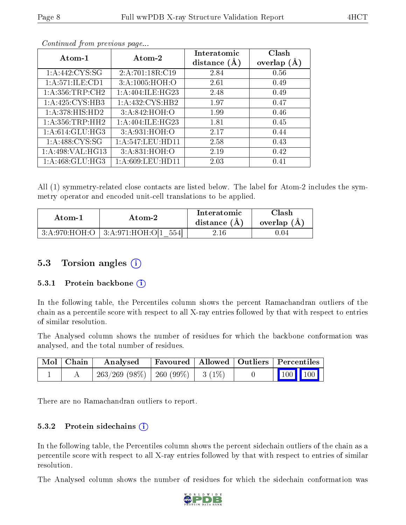|--|

| Atom-1              | Atom-2              | Interatomic<br>distance $(A)$ | Clash<br>overlap $(A)$ |
|---------------------|---------------------|-------------------------------|------------------------|
| 1: A:442: CYS:SG    | 2:A:701:18R:CI9     | 2.84                          | 0.56                   |
| 1:A:571:ILE:CD1     | 3: A:1005:HOH:O     | 2.61                          | 0.49                   |
| 1: A:356:TRP:CH2    | 1:A:404:ILE:HG23    | 2.48                          | 0.49                   |
| 1:A:425:CYS:HB3     | 1: A: 432: CYS: HB2 | 1.97                          | 0.47                   |
| 1: A:378: HIS: HD2  | 3:A:842:HOH:O       | 1.99                          | 0.46                   |
| 1: A: 356: TRP: HH2 | 1:A:404:ILE:HG23    | 1.81                          | 0.45                   |
| 1: A:614: GLU: HG3  | 3:A:931:HOH:O       | 2.17                          | 0.44                   |
| 1: A:488: CYS:SG    | 1:A:547:LEU:HD11    | 2.58                          | 0.43                   |
| 1:A:498:VAL:HG13    | 3:A:831:HOH:O       | 2.19                          | 0.42                   |
| 1: A:468: GLU:HG3   | 1:A:609:LEU:HD11    | 2.03                          | 0.41                   |

Continued from previous page...

All (1) symmetry-related close contacts are listed below. The label for Atom-2 includes the symmetry operator and encoded unit-cell translations to be applied.

| Atom-1 | Atom-2                                       | Interatomic<br>distance $(A)$ | $\cap$ lash<br>overlap $(A)$ |
|--------|----------------------------------------------|-------------------------------|------------------------------|
|        | $3:A:970:HOH:O$   $3:A:971:HOH:O[1]$<br>5541 | $2.16\,$                      | 1.04                         |

### 5.3 Torsion angles (i)

#### 5.3.1 Protein backbone  $(i)$

In the following table, the Percentiles column shows the percent Ramachandran outliers of the chain as a percentile score with respect to all X-ray entries followed by that with respect to entries of similar resolution.

The Analysed column shows the number of residues for which the backbone conformation was analysed, and the total number of residues.

| Mol   Chain | $\boldsymbol{\mathrm{Analysed}}$        | Favoured   Allowed   Outliers   Percentiles |  |                                                |
|-------------|-----------------------------------------|---------------------------------------------|--|------------------------------------------------|
|             | $263/269$ (98\%)   260 (99\%)   3 (1\%) |                                             |  | $\begin{bmatrix} 100 \\ 100 \end{bmatrix}$ 100 |

There are no Ramachandran outliers to report.

#### 5.3.2 Protein sidechains  $(i)$

In the following table, the Percentiles column shows the percent sidechain outliers of the chain as a percentile score with respect to all X-ray entries followed by that with respect to entries of similar resolution.

The Analysed column shows the number of residues for which the sidechain conformation was

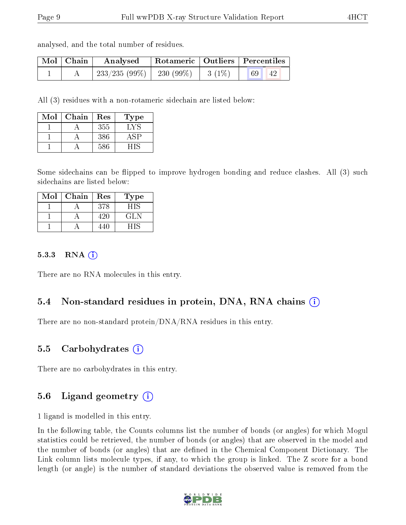analysed, and the total number of residues.

| Mol   Chain | $\bf{Analysed}$                                                                                          | Rotameric   Outliers   Percentiles |       |  |
|-------------|----------------------------------------------------------------------------------------------------------|------------------------------------|-------|--|
|             | $\begin{array}{ c c c c c c c c } \hline 233/235 & (99\%) & 230 & (99\%) & 3 & (1\%) \hline \end{array}$ |                                    | 69 42 |  |

All (3) residues with a non-rotameric sidechain are listed below:

| Mol | Chain | Res | Type' |
|-----|-------|-----|-------|
|     |       | 355 | LY S  |
|     |       | 386 |       |
|     |       | 586 |       |

Some sidechains can be flipped to improve hydrogen bonding and reduce clashes. All (3) such sidechains are listed below:

| Mol | Chain | Res | Type' |
|-----|-------|-----|-------|
|     |       | 378 |       |
|     |       |     | GL N  |
|     |       |     |       |

#### $5.3.3$  RNA  $(i)$

There are no RNA molecules in this entry.

### 5.4 Non-standard residues in protein, DNA, RNA chains (i)

There are no non-standard protein/DNA/RNA residues in this entry.

#### 5.5 Carbohydrates (i)

There are no carbohydrates in this entry.

#### 5.6 Ligand geometry (i)

1 ligand is modelled in this entry.

In the following table, the Counts columns list the number of bonds (or angles) for which Mogul statistics could be retrieved, the number of bonds (or angles) that are observed in the model and the number of bonds (or angles) that are defined in the Chemical Component Dictionary. The Link column lists molecule types, if any, to which the group is linked. The Z score for a bond length (or angle) is the number of standard deviations the observed value is removed from the

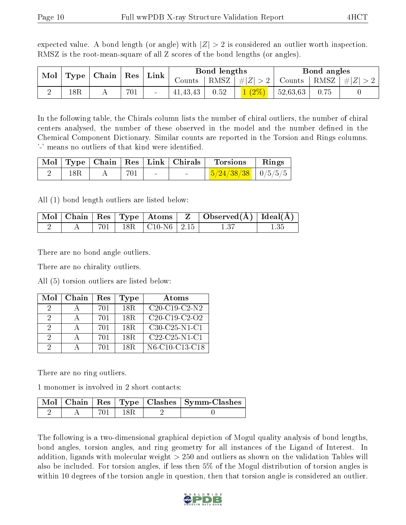expected value. A bond length (or angle) with  $|Z| > 2$  is considered an outlier worth inspection. RMSZ is the root-mean-square of all Z scores of the bond lengths (or angles).

| $\operatorname{Mol}$ | $\vert$ Type $\vert$ Chain $\vert$ Res $\vert$ |  | Link |                          | Bond lengths |                 | Bond angles |          |                                                        |  |
|----------------------|------------------------------------------------|--|------|--------------------------|--------------|-----------------|-------------|----------|--------------------------------------------------------|--|
|                      |                                                |  |      | Counts                   |              | RMSZ $ #Z  > 2$ |             |          | $\perp$ Counts $\parallel$ RMSZ $\parallel \#  Z  > 2$ |  |
|                      | $18\mathrm{R}$                                 |  | 701  | $\overline{\phantom{a}}$ | 41, 43, 43   | 0.52            | $1(2\%)$    | 52,63,63 | 0.75                                                   |  |

In the following table, the Chirals column lists the number of chiral outliers, the number of chiral centers analysed, the number of these observed in the model and the number defined in the Chemical Component Dictionary. Similar counts are reported in the Torsion and Rings columns. '-' means no outliers of that kind were identified.

|                |     |        |        | $\lceil \text{Mol} \rceil$ Type $\lceil$ Chain $\lceil \text{Res} \rceil$ Link $\lceil$ Chirals $\lceil \cdot \text{Torsions} \rceil$ | $\parallel$ Rings |
|----------------|-----|--------|--------|---------------------------------------------------------------------------------------------------------------------------------------|-------------------|
| $18\mathrm{R}$ | 701 | $\sim$ | $\sim$ | $\frac{5}{24/38/38}$   0/5/5/5                                                                                                        |                   |

All (1) bond length outliers are listed below:

|  |  |                                     | $\mid$ Mol $\mid$ Chain $\mid$ Res $\mid$ Type $\mid$ Atoms $\mid$ Z $\mid$ Observed(A) $\mid$ Ideal(A) |  |
|--|--|-------------------------------------|---------------------------------------------------------------------------------------------------------|--|
|  |  | $\frac{1}{1}$   18R   C10-N6   2.15 |                                                                                                         |  |

There are no bond angle outliers.

There are no chirality outliers.

All (5) torsion outliers are listed below:

| Mol           | $Chain$ | Res | Type            | Atoms           |
|---------------|---------|-----|-----------------|-----------------|
| 2             |         | 701 | 18R             | $C20-C19-C2-N2$ |
| $\mathcal{D}$ |         | 701 | 18R             | $C20-C19-C2-C2$ |
| 2             |         | 701 | 18R             | $C30-C25-N1-C1$ |
| $\mathcal{D}$ |         | 701 | 18R             | $C22-C25-N1-C1$ |
| റ             |         | 701 | 18 <sub>R</sub> | N6-C10-C13-C18  |

There are no ring outliers.

1 monomer is involved in 2 short contacts:

|  |     | Mol   Chain   Res   Type   Clashes   Symm-Clashes |
|--|-----|---------------------------------------------------|
|  | 18R |                                                   |

The following is a two-dimensional graphical depiction of Mogul quality analysis of bond lengths, bond angles, torsion angles, and ring geometry for all instances of the Ligand of Interest. In addition, ligands with molecular weight > 250 and outliers as shown on the validation Tables will also be included. For torsion angles, if less then 5% of the Mogul distribution of torsion angles is within 10 degrees of the torsion angle in question, then that torsion angle is considered an outlier.

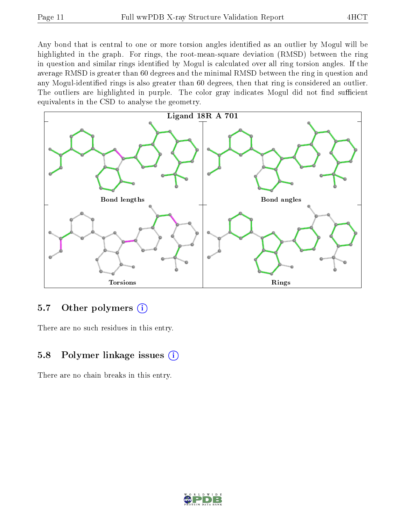Any bond that is central to one or more torsion angles identified as an outlier by Mogul will be highlighted in the graph. For rings, the root-mean-square deviation (RMSD) between the ring in question and similar rings identified by Mogul is calculated over all ring torsion angles. If the average RMSD is greater than 60 degrees and the minimal RMSD between the ring in question and any Mogul-identified rings is also greater than 60 degrees, then that ring is considered an outlier. The outliers are highlighted in purple. The color gray indicates Mogul did not find sufficient equivalents in the CSD to analyse the geometry.



### 5.7 [O](https://www.wwpdb.org/validation/2017/XrayValidationReportHelp#nonstandard_residues_and_ligands)ther polymers (i)

There are no such residues in this entry.

### 5.8 Polymer linkage issues  $(i)$

There are no chain breaks in this entry.

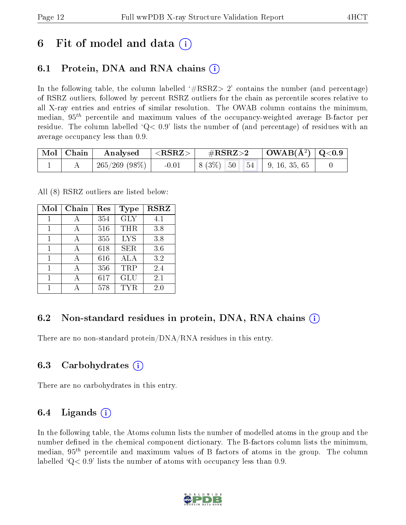## 6 Fit of model and data  $\left( \cdot \right)$

### 6.1 Protein, DNA and RNA chains (i)

In the following table, the column labelled  $#RSRZ>2'$  contains the number (and percentage) of RSRZ outliers, followed by percent RSRZ outliers for the chain as percentile scores relative to all X-ray entries and entries of similar resolution. The OWAB column contains the minimum, median,  $95<sup>th</sup>$  percentile and maximum values of the occupancy-weighted average B-factor per residue. The column labelled  $Q < 0.9$  lists the number of (and percentage) of residues with an average occupancy less than 0.9.

| $\mid$ Mol $\mid$ Chain | $\bf{Analysed} \quad  $ | $  <$ RSRZ $>$ $ $ | $\rm \#RSRZ{>}2$                                      | $\mid$ OWAB(Å <sup>2</sup> ) $\mid$ Q<0.9 $\mid$ |  |
|-------------------------|-------------------------|--------------------|-------------------------------------------------------|--------------------------------------------------|--|
|                         | 265/269 (98%)           | $-0.01$            | $\vert 8 (3\%) \vert 50 \vert 54 \vert 9, 16, 35, 65$ |                                                  |  |

All (8) RSRZ outliers are listed below:

| Mol | Chain | $\operatorname{Res}% \left( \mathcal{N}\right) \equiv\operatorname{Res}(\mathcal{N}_{0},\mathcal{N}_{0})$ | Type       | <b>RSRZ</b> |
|-----|-------|-----------------------------------------------------------------------------------------------------------|------------|-------------|
| 1   | А     | 354                                                                                                       | <b>GLY</b> | 4.1         |
| 1   |       | 516                                                                                                       | THR        | 3.8         |
| 1   |       | 355                                                                                                       | <b>LYS</b> | 3.8         |
| 1   |       | 618                                                                                                       | <b>SER</b> | 3.6         |
| 1   |       | 616                                                                                                       | <b>ALA</b> | 3.2         |
| 1   |       | 356                                                                                                       | TRP        | 2.4         |
|     |       | 617                                                                                                       | GLU        | 2.1         |
|     |       | 578                                                                                                       | TYR        | 2.0         |

### 6.2 Non-standard residues in protein, DNA, RNA chains  $(i)$

There are no non-standard protein/DNA/RNA residues in this entry.

### 6.3 Carbohydrates (i)

There are no carbohydrates in this entry.

### 6.4 Ligands  $(i)$

In the following table, the Atoms column lists the number of modelled atoms in the group and the number defined in the chemical component dictionary. The B-factors column lists the minimum, median,  $95<sup>th</sup>$  percentile and maximum values of B factors of atoms in the group. The column labelled  $Q< 0.9$ ' lists the number of atoms with occupancy less than 0.9.